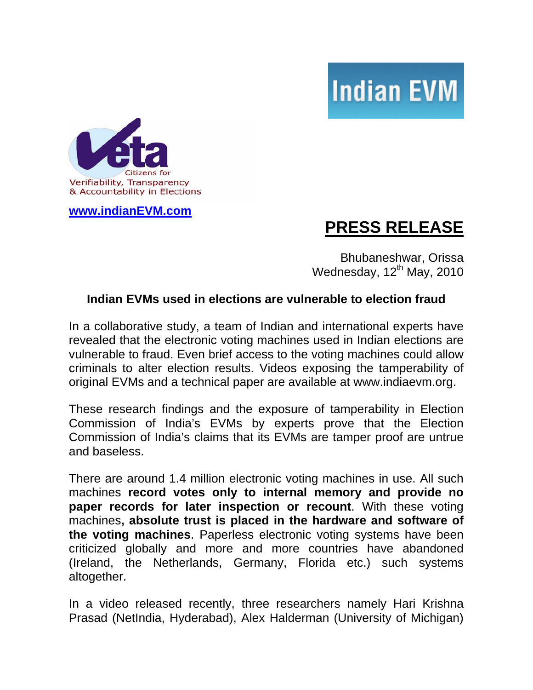



**[www.indianEVM.com](http://www.indianevm.com/)** 

## **PRESS RELEASE**

Bhubaneshwar, Orissa Wednesday,  $12^{th}$  May, 2010

## **Indian EVMs used in elections are vulnerable to election fraud**

In a collaborative study, a team of Indian and international experts have revealed that the electronic voting machines used in Indian elections are vulnerable to fraud. Even brief access to the voting machines could allow criminals to alter election results. Videos exposing the tamperability of original EVMs and a technical paper are available at www.indiaevm.org.

These research findings and the exposure of tamperability in Election Commission of India's EVMs by experts prove that the Election Commission of India's claims that its EVMs are tamper proof are untrue and baseless.

There are around 1.4 million electronic voting machines in use. All such machines **record votes only to internal memory and provide no paper records for later inspection or recount**. With these voting machines**, absolute trust is placed in the hardware and software of the voting machines**. Paperless electronic voting systems have been criticized globally and more and more countries have abandoned (Ireland, the Netherlands, Germany, Florida etc.) such systems altogether.

In a video released recently, three researchers namely Hari Krishna Prasad (NetIndia, Hyderabad), Alex Halderman (University of Michigan)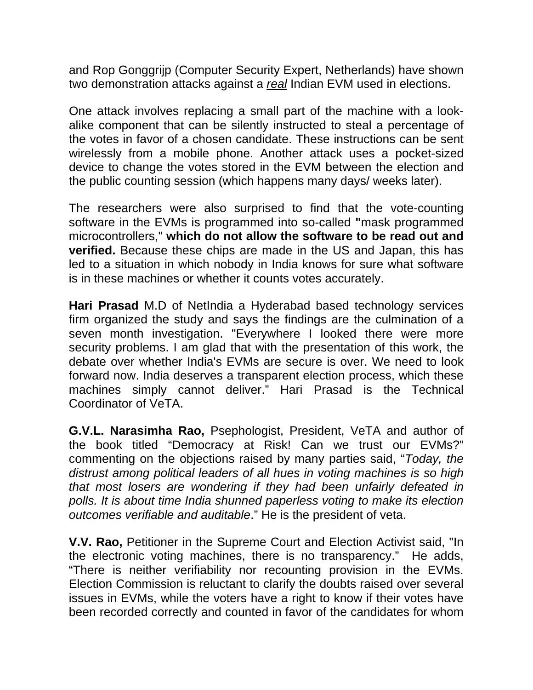and Rop Gonggrijp (Computer Security Expert, Netherlands) have shown two demonstration attacks against a *real* Indian EVM used in elections.

One attack involves replacing a small part of the machine with a lookalike component that can be silently instructed to steal a percentage of the votes in favor of a chosen candidate. These instructions can be sent wirelessly from a mobile phone. Another attack uses a pocket-sized device to change the votes stored in the EVM between the election and the public counting session (which happens many days/ weeks later).

The researchers were also surprised to find that the vote-counting software in the EVMs is programmed into so-called **"**mask programmed microcontrollers," **which do not allow the software to be read out and verified.** Because these chips are made in the US and Japan, this has led to a situation in which nobody in India knows for sure what software is in these machines or whether it counts votes accurately.

**Hari Prasad** M.D of NetIndia a Hyderabad based technology services firm organized the study and says the findings are the culmination of a seven month investigation. "Everywhere I looked there were more security problems. I am glad that with the presentation of this work, the debate over whether India's EVMs are secure is over. We need to look forward now. India deserves a transparent election process, which these machines simply cannot deliver." Hari Prasad is the Technical Coordinator of VeTA.

**G.V.L. Narasimha Rao,** Psephologist, President, VeTA and author of the book titled "Democracy at Risk! Can we trust our EVMs?" commenting on the objections raised by many parties said, "*Today, the distrust among political leaders of all hues in voting machines is so high that most losers are wondering if they had been unfairly defeated in polls. It is about time India shunned paperless voting to make its election outcomes verifiable and auditable*." He is the president of veta.

**V.V. Rao,** Petitioner in the Supreme Court and Election Activist said, "In the electronic voting machines, there is no transparency." He adds, "There is neither verifiability nor recounting provision in the EVMs. Election Commission is reluctant to clarify the doubts raised over several issues in EVMs, while the voters have a right to know if their votes have been recorded correctly and counted in favor of the candidates for whom